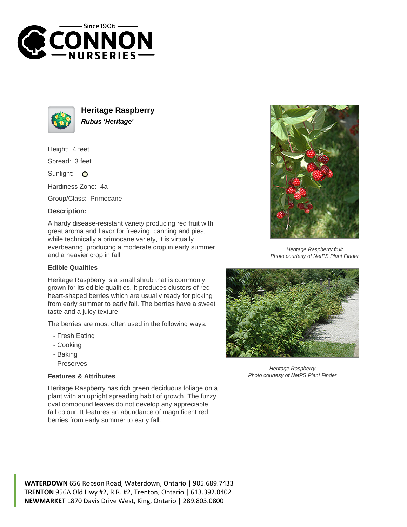



**Heritage Raspberry Rubus 'Heritage'**

Height: 4 feet

Spread: 3 feet

Sunlight: O

Hardiness Zone: 4a

Group/Class: Primocane

## **Description:**

A hardy disease-resistant variety producing red fruit with great aroma and flavor for freezing, canning and pies; while technically a primocane variety, it is virtually everbearing, producing a moderate crop in early summer and a heavier crop in fall

## **Edible Qualities**

Heritage Raspberry is a small shrub that is commonly grown for its edible qualities. It produces clusters of red heart-shaped berries which are usually ready for picking from early summer to early fall. The berries have a sweet taste and a juicy texture.

The berries are most often used in the following ways:

- Fresh Eating
- Cooking
- Baking
- Preserves

## **Features & Attributes**

Heritage Raspberry has rich green deciduous foliage on a plant with an upright spreading habit of growth. The fuzzy oval compound leaves do not develop any appreciable fall colour. It features an abundance of magnificent red berries from early summer to early fall.



Heritage Raspberry fruit Photo courtesy of NetPS Plant Finder



Heritage Raspberry Photo courtesy of NetPS Plant Finder